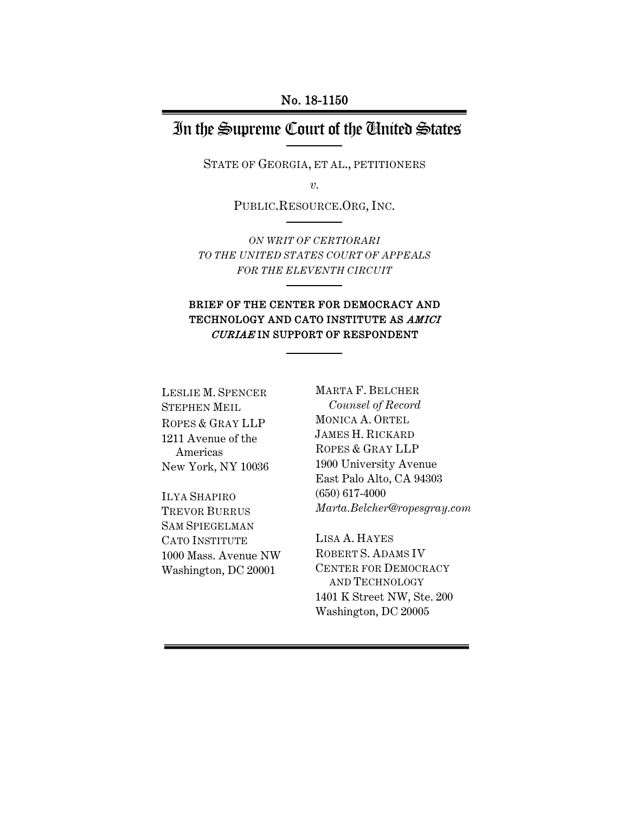## In the Supreme Court of the United States

STATE OF GEORGIA, ET AL., PETITIONERS

*v.*

PUBLIC.RESOURCE.ORG, INC.

*ON WRIT OF CERTIORARI TO THE UNITED STATES COURT OF APPEALS FOR THE ELEVENTH CIRCUIT*

### BRIEF OF THE CENTER FOR DEMOCRACY AND TECHNOLOGY AND CATO INSTITUTE AS AMICI CURIAE IN SUPPORT OF RESPONDENT

LESLIE M. SPENCER STEPHEN MEIL ROPES & GRAY LLP 1211 Avenue of the Americas New York, NY 10036

ILYA SHAPIRO TREVOR BURRUS SAM SPIEGELMAN CATO INSTITUTE 1000 Mass. Avenue NW Washington, DC 20001

MARTA F. BELCHER *Counsel of Record* MONICA A. ORTEL JAMES H. RICKARD ROPES & GRAY LLP 1900 University Avenue East Palo Alto, CA 94303 (650) 617-4000 *Marta.Belcher@ropesgray.com*

LISA A. HAYES ROBERT S. ADAMS IV CENTER FOR DEMOCRACY AND TECHNOLOGY 1401 K Street NW, Ste. 200 Washington, DC 20005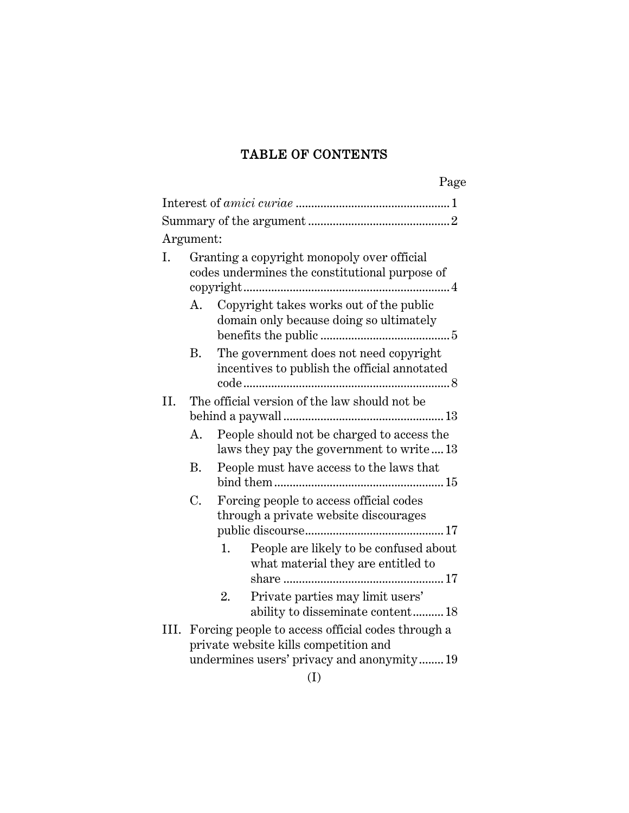### TABLE OF CONTENTS

|           |                                               |                                                                                                                                          | Page |  |
|-----------|-----------------------------------------------|------------------------------------------------------------------------------------------------------------------------------------------|------|--|
|           |                                               |                                                                                                                                          |      |  |
|           |                                               |                                                                                                                                          |      |  |
| Argument: |                                               |                                                                                                                                          |      |  |
| Ι.        |                                               | Granting a copyright monopoly over official<br>codes undermines the constitutional purpose of                                            |      |  |
|           | А.                                            | Copyright takes works out of the public<br>domain only because doing so ultimately                                                       |      |  |
|           | В.                                            | The government does not need copyright<br>incentives to publish the official annotated                                                   |      |  |
| II.       | The official version of the law should not be |                                                                                                                                          |      |  |
|           | A.                                            | People should not be charged to access the<br>laws they pay the government to write13                                                    |      |  |
|           | B.                                            | People must have access to the laws that                                                                                                 |      |  |
|           | C.                                            | Forcing people to access official codes<br>through a private website discourages                                                         |      |  |
|           |                                               | People are likely to be confused about<br>1.<br>what material they are entitled to                                                       |      |  |
|           |                                               | Private parties may limit users'<br>2.<br>ability to disseminate content18                                                               |      |  |
| III.      |                                               | Forcing people to access official codes through a<br>private website kills competition and<br>undermines users' privacy and anonymity 19 |      |  |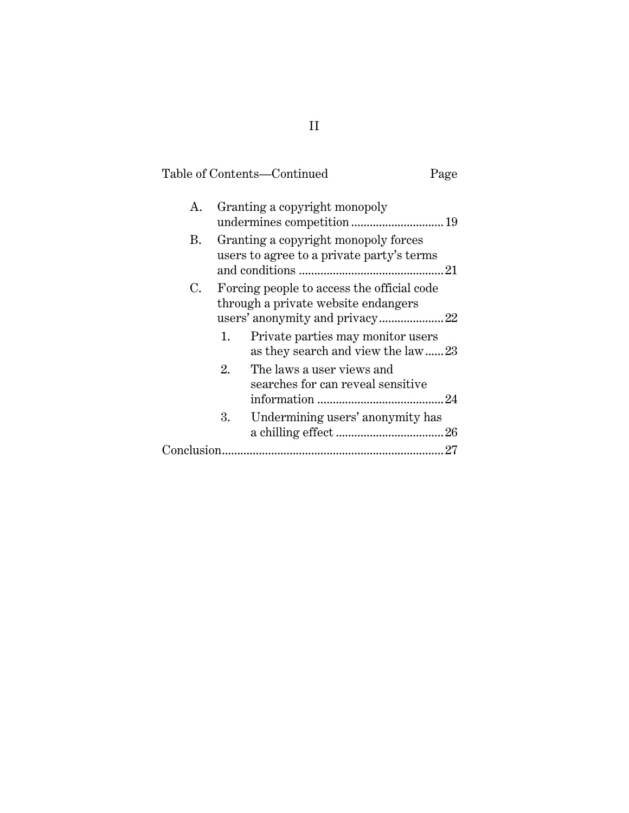## Table of Contents—Continued Page

| А. |    | Granting a copyright monopoly                                                     |  |
|----|----|-----------------------------------------------------------------------------------|--|
| В. |    | Granting a copyright monopoly forces<br>users to agree to a private party's terms |  |
| C. |    | Forcing people to access the official code<br>through a private website endangers |  |
|    | 1. | Private parties may monitor users<br>as they search and view the law23            |  |
|    | 2. | The laws a user views and<br>searches for can reveal sensitive                    |  |
|    | 3. | Undermining users' anonymity has                                                  |  |
|    |    |                                                                                   |  |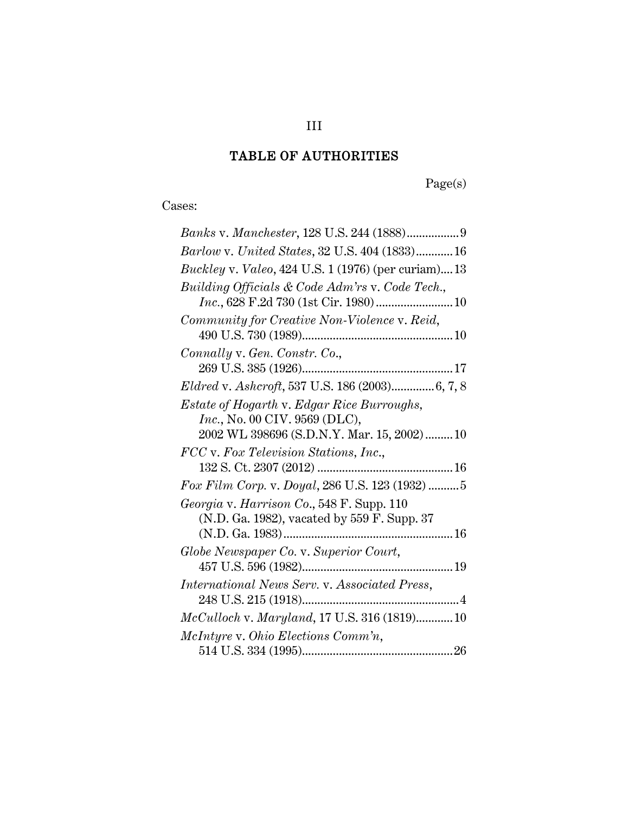# TABLE OF AUTHORITIES

Page(s)

Cases:

| Barlow v. United States, 32 U.S. 404 (1833) 16                                                                             |
|----------------------------------------------------------------------------------------------------------------------------|
| <i>Buckley v. Valeo, 424 U.S. 1 (1976) (per curiam)13</i>                                                                  |
| Building Officials & Code Adm'rs v. Code Tech.,                                                                            |
|                                                                                                                            |
| Community for Creative Non-Violence v. Reid,                                                                               |
| Connally v. Gen. Constr. Co.,                                                                                              |
|                                                                                                                            |
| Eldred v. Ashcroft, 537 U.S. 186 (2003) 6, 7, 8                                                                            |
| Estate of Hogarth v. Edgar Rice Burroughs,<br>Inc., No. 00 CIV. 9569 (DLC),<br>2002 WL 398696 (S.D.N.Y. Mar. 15, 2002)  10 |
| FCC v. Fox Television Stations, Inc.,                                                                                      |
|                                                                                                                            |
| Fox Film Corp. v. Doyal, 286 U.S. 123 (1932) 5                                                                             |
| Georgia v. Harrison Co., 548 F. Supp. 110                                                                                  |
| (N.D. Ga. 1982), vacated by 559 F. Supp. 37                                                                                |
| Globe Newspaper Co. v. Superior Court,                                                                                     |
|                                                                                                                            |
| International News Serv. v. Associated Press,                                                                              |
|                                                                                                                            |
| McCulloch v. Maryland, 17 U.S. 316 (1819) 10                                                                               |
| McIntyre v. Ohio Elections Comm'n,                                                                                         |
|                                                                                                                            |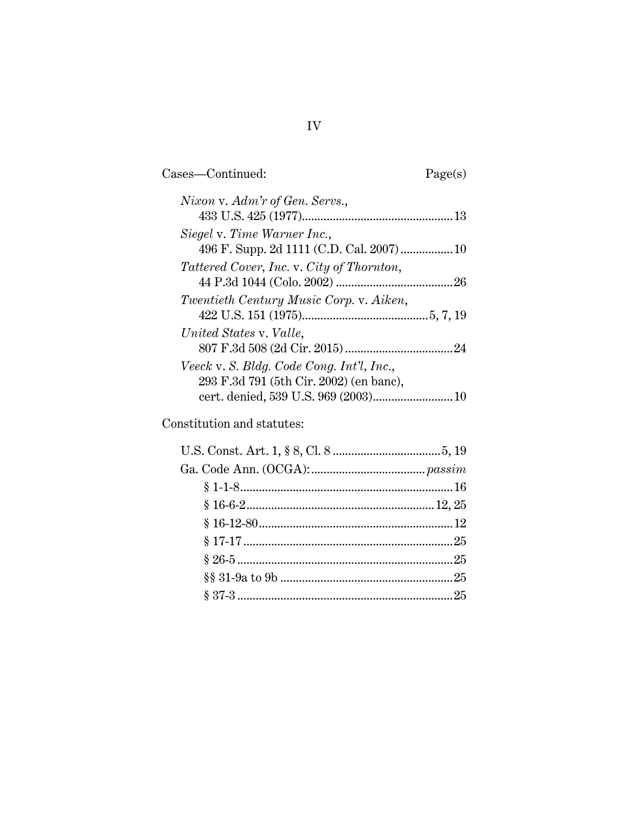Cases—Continued: Page(s)

| Nixon v. Adm'r of Gen. Servs.,            |  |
|-------------------------------------------|--|
|                                           |  |
| Siegel v. Time Warner Inc.,               |  |
|                                           |  |
| Tattered Cover, Inc. v. City of Thornton, |  |
|                                           |  |
| Twentieth Century Music Corp. v. Aiken,   |  |
|                                           |  |
| United States v. Valle,                   |  |
|                                           |  |
| Veeck v. S. Bldg. Code Cong. Int'l, Inc., |  |
| 293 F.3d 791 (5th Cir. 2002) (en banc),   |  |
|                                           |  |
|                                           |  |

Constitution and statutes: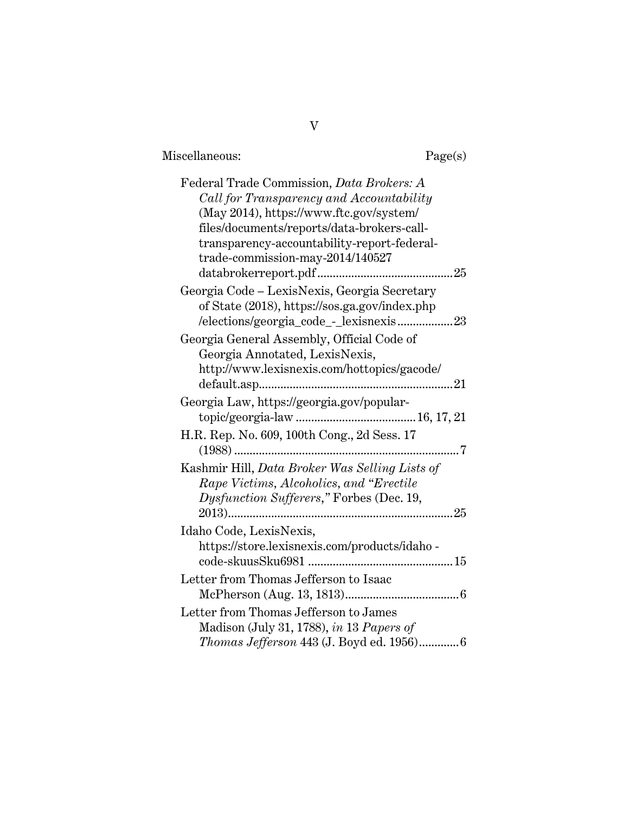| Miscellaneous: |
|----------------|
|----------------|

| Federal Trade Commission, Data Brokers: A       |
|-------------------------------------------------|
| Call for Transparency and Accountability        |
| (May 2014), https://www.ftc.gov/system/         |
| files/documents/reports/data-brokers-call-      |
| transparency-accountability-report-federal-     |
| trade-commission-may-2014/140527                |
| 25                                              |
| Georgia Code – LexisNexis, Georgia Secretary    |
| of State (2018), https://sos.ga.gov/index.php   |
| /elections/georgia_code_-_lexisnexis23          |
| Georgia General Assembly, Official Code of      |
| Georgia Annotated, LexisNexis,                  |
| http://www.lexisnexis.com/hottopics/gacode/     |
| 21                                              |
| Georgia Law, https://georgia.gov/popular-       |
|                                                 |
| H.R. Rep. No. 609, 100th Cong., 2d Sess. 17     |
| 7                                               |
| Kashmir Hill, Data Broker Was Selling Lists of  |
| Rape Victims, Alcoholics, and "Erectile"        |
| Dysfunction Sufferers," Forbes (Dec. 19,        |
| $2013)$<br>25                                   |
| Idaho Code, LexisNexis,                         |
| https://store.lexisnexis.com/products/idaho-    |
|                                                 |
| Letter from Thomas Jefferson to Isaac           |
|                                                 |
| Letter from Thomas Jefferson to James           |
| Madison (July 31, 1788), in 13 Papers of        |
| <i>Thomas Jefferson</i> 443 (J. Boyd ed. 1956)6 |
|                                                 |

V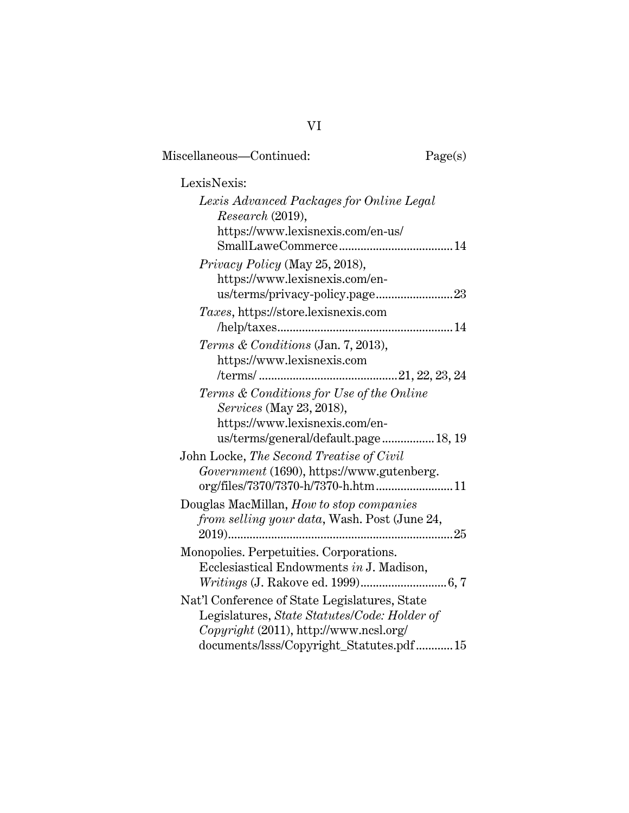| LexisNexis:                                                                                                                                                                        |  |
|------------------------------------------------------------------------------------------------------------------------------------------------------------------------------------|--|
|                                                                                                                                                                                    |  |
| Lexis Advanced Packages for Online Legal<br>Research (2019),<br>https://www.lexisnexis.com/en-us/                                                                                  |  |
| Privacy Policy (May 25, 2018),<br>https://www.lexisnexis.com/en-                                                                                                                   |  |
| Taxes, https://store.lexisnexis.com                                                                                                                                                |  |
| Terms & Conditions (Jan. 7, 2013),<br>https://www.lexisnexis.com<br>Terms & Conditions for Use of the Online                                                                       |  |
| Services (May 23, 2018),<br>https://www.lexisnexis.com/en-<br>us/terms/general/default.page 18, 19                                                                                 |  |
| John Locke, The Second Treatise of Civil<br>Government (1690), https://www.gutenberg.<br>org/files/7370/7370-h/7370-h.htm  11                                                      |  |
| Douglas MacMillan, How to stop companies<br>from selling your data, Wash. Post (June 24,                                                                                           |  |
| Monopolies. Perpetuities. Corporations.<br>Ecclesiastical Endowments in J. Madison,                                                                                                |  |
| Nat'l Conference of State Legislatures, State<br>Legislatures, State Statutes/Code: Holder of<br>Copyright (2011), http://www.ncsl.org/<br>documents/lsss/Copyright_Statutes.pdf15 |  |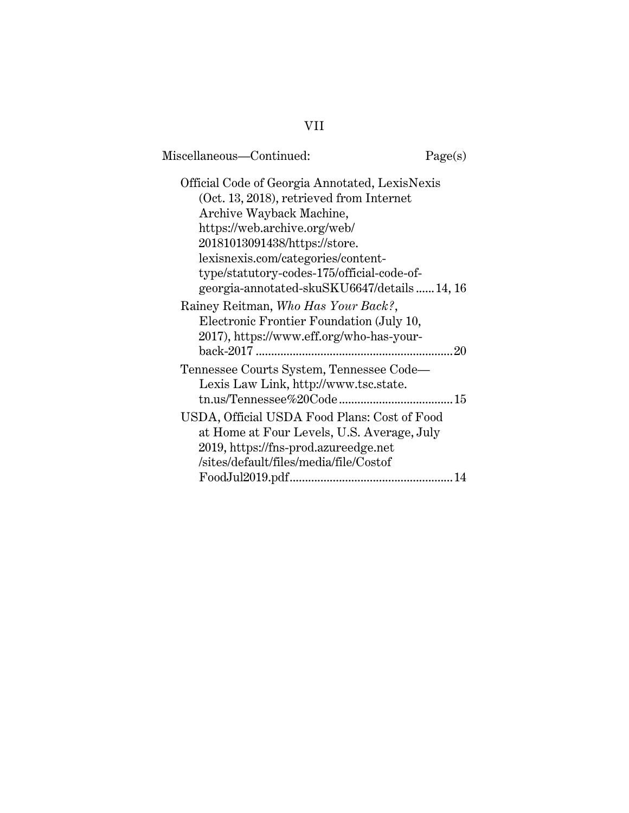| Miscellaneous—Continued:                                                                                                                                                                                                                                                                                                                                                                                                                                 | Page(s) |
|----------------------------------------------------------------------------------------------------------------------------------------------------------------------------------------------------------------------------------------------------------------------------------------------------------------------------------------------------------------------------------------------------------------------------------------------------------|---------|
| Official Code of Georgia Annotated, LexisNexis<br>(Oct. 13, 2018), retrieved from Internet<br>Archive Wayback Machine,<br>https://web.archive.org/web/<br>20181013091438/https://store.<br>lexisnexis.com/categories/content-<br>type/statutory-codes-175/official-code-of-<br>georgia-annotated-skuSKU6647/details14, 16<br>Rainey Reitman, Who Has Your Back?,<br>Electronic Frontier Foundation (July 10,<br>2017), https://www.eff.org/who-has-your- | 20      |
| Tennessee Courts System, Tennessee Code-<br>Lexis Law Link, http://www.tsc.state.<br>USDA, Official USDA Food Plans: Cost of Food<br>at Home at Four Levels, U.S. Average, July<br>2019, https://fns-prod.azureedge.net<br>/sites/default/files/media/file/Costof                                                                                                                                                                                        |         |

VII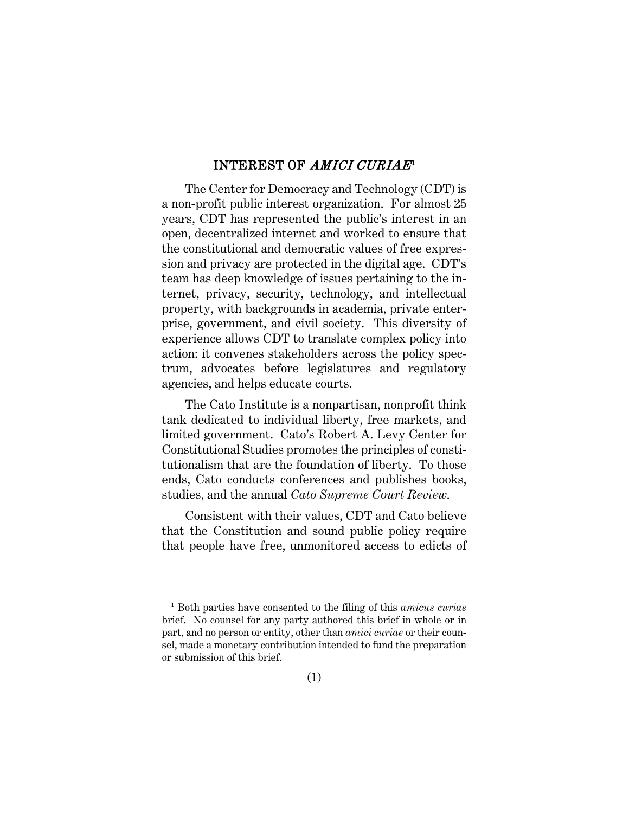#### INTEREST OF *AMICI CURIAE*<sup>[1](#page-8-1)</sup>

<span id="page-8-0"></span>The Center for Democracy and Technology (CDT) is a non-profit public interest organization. For almost 25 years, CDT has represented the public's interest in an open, decentralized internet and worked to ensure that the constitutional and democratic values of free expression and privacy are protected in the digital age. CDT's team has deep knowledge of issues pertaining to the internet, privacy, security, technology, and intellectual property, with backgrounds in academia, private enterprise, government, and civil society. This diversity of experience allows CDT to translate complex policy into action: it convenes stakeholders across the policy spectrum, advocates before legislatures and regulatory agencies, and helps educate courts.

The Cato Institute is a nonpartisan, nonprofit think tank dedicated to individual liberty, free markets, and limited government. Cato's Robert A. Levy Center for Constitutional Studies promotes the principles of constitutionalism that are the foundation of liberty. To those ends, Cato conducts conferences and publishes books, studies, and the annual *Cato Supreme Court Review*.

Consistent with their values, CDT and Cato believe that the Constitution and sound public policy require that people have free, unmonitored access to edicts of

Ĩ.

<span id="page-8-1"></span><sup>1</sup> Both parties have consented to the filing of this *amicus curiae* brief. No counsel for any party authored this brief in whole or in part, and no person or entity, other than *amici curiae* or their counsel, made a monetary contribution intended to fund the preparation or submission of this brief.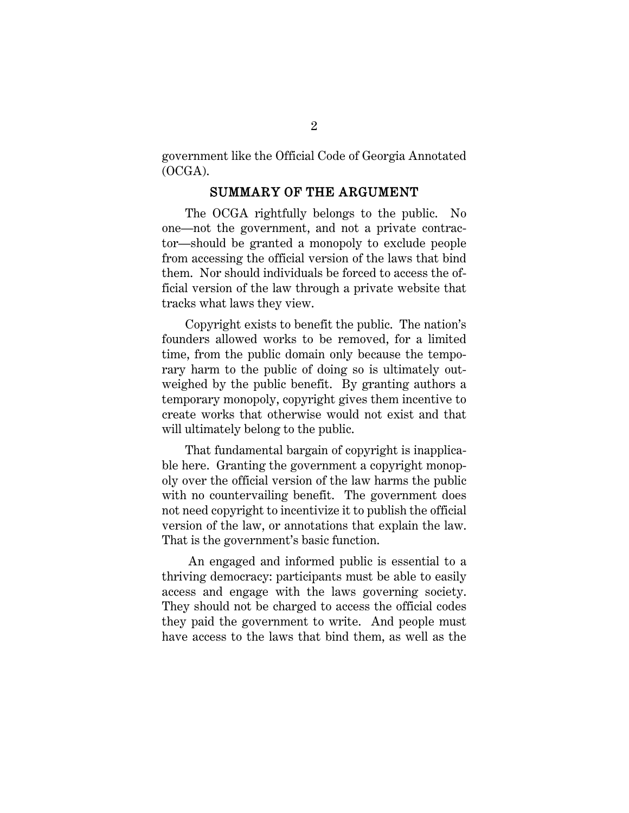government like the Official Code of Georgia Annotated (OCGA).

#### <span id="page-9-0"></span>SUMMARY OF THE ARGUMENT

The OCGA rightfully belongs to the public. No one—not the government, and not a private contractor—should be granted a monopoly to exclude people from accessing the official version of the laws that bind them. Nor should individuals be forced to access the official version of the law through a private website that tracks what laws they view.

Copyright exists to benefit the public. The nation's founders allowed works to be removed, for a limited time, from the public domain only because the temporary harm to the public of doing so is ultimately outweighed by the public benefit. By granting authors a temporary monopoly, copyright gives them incentive to create works that otherwise would not exist and that will ultimately belong to the public.

That fundamental bargain of copyright is inapplicable here. Granting the government a copyright monopoly over the official version of the law harms the public with no countervailing benefit. The government does not need copyright to incentivize it to publish the official version of the law, or annotations that explain the law. That is the government's basic function.

An engaged and informed public is essential to a thriving democracy: participants must be able to easily access and engage with the laws governing society. They should not be charged to access the official codes they paid the government to write. And people must have access to the laws that bind them, as well as the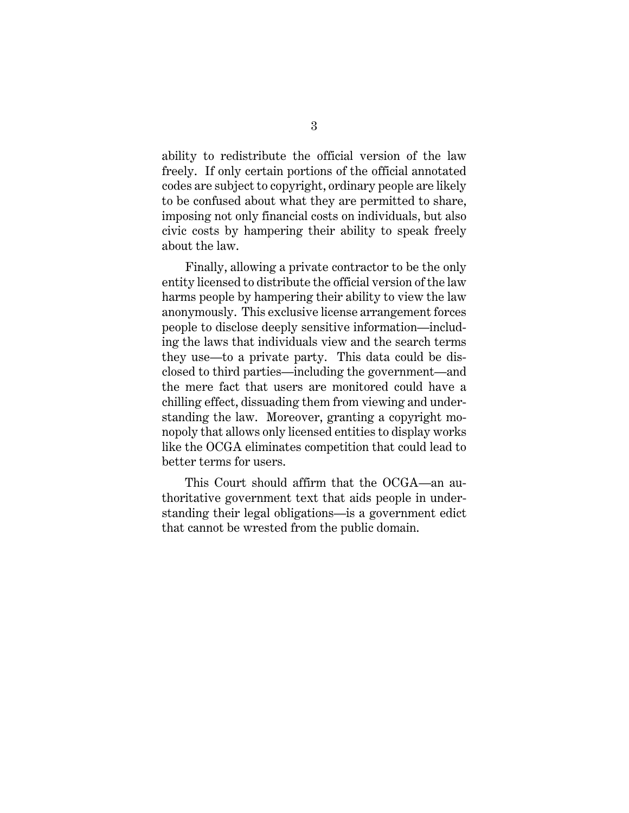ability to redistribute the official version of the law freely. If only certain portions of the official annotated codes are subject to copyright, ordinary people are likely to be confused about what they are permitted to share, imposing not only financial costs on individuals, but also civic costs by hampering their ability to speak freely about the law.

Finally, allowing a private contractor to be the only entity licensed to distribute the official version of the law harms people by hampering their ability to view the law anonymously. This exclusive license arrangement forces people to disclose deeply sensitive information—including the laws that individuals view and the search terms they use—to a private party. This data could be disclosed to third parties—including the government—and the mere fact that users are monitored could have a chilling effect, dissuading them from viewing and understanding the law. Moreover, granting a copyright monopoly that allows only licensed entities to display works like the OCGA eliminates competition that could lead to better terms for users.

This Court should affirm that the OCGA—an authoritative government text that aids people in understanding their legal obligations—is a government edict that cannot be wrested from the public domain.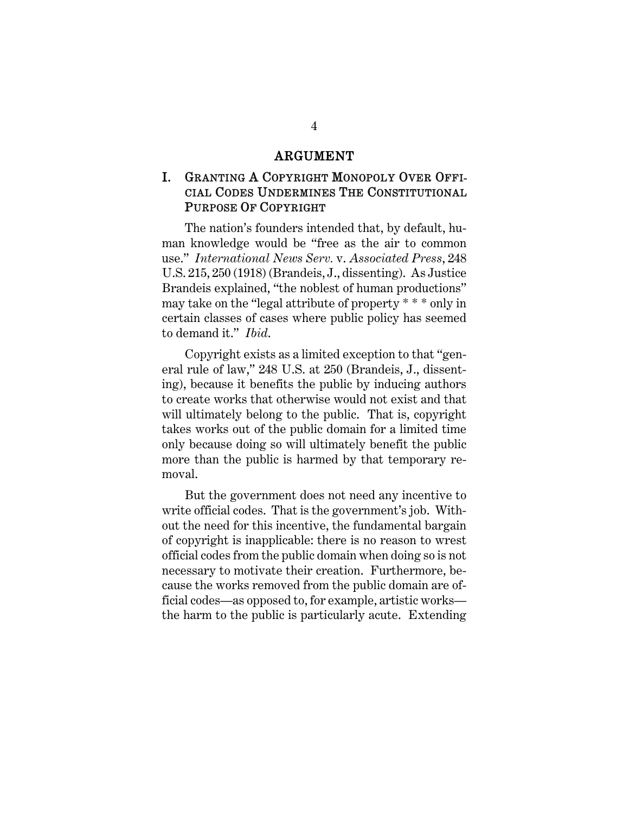#### ARGUMENT

### <span id="page-11-1"></span><span id="page-11-0"></span>I. GRANTING A COPYRIGHT MONOPOLY OVER OFFI-CIAL CODES UNDERMINES THE CONSTITUTIONAL PURPOSE OF COPYRIGHT

<span id="page-11-2"></span>The nation's founders intended that, by default, human knowledge would be "free as the air to common use." *International News Serv.* v. *Associated Press*, 248 U.S. 215, 250 (1918) (Brandeis, J., dissenting). As Justice Brandeis explained, "the noblest of human productions" may take on the "legal attribute of property \* \* \* only in certain classes of cases where public policy has seemed to demand it." *Ibid*.

Copyright exists as a limited exception to that "general rule of law," 248 U.S. at 250 (Brandeis, J., dissenting), because it benefits the public by inducing authors to create works that otherwise would not exist and that will ultimately belong to the public. That is, copyright takes works out of the public domain for a limited time only because doing so will ultimately benefit the public more than the public is harmed by that temporary removal.

But the government does not need any incentive to write official codes. That is the government's job. Without the need for this incentive, the fundamental bargain of copyright is inapplicable: there is no reason to wrest official codes from the public domain when doing so is not necessary to motivate their creation. Furthermore, because the works removed from the public domain are official codes—as opposed to, for example, artistic works the harm to the public is particularly acute. Extending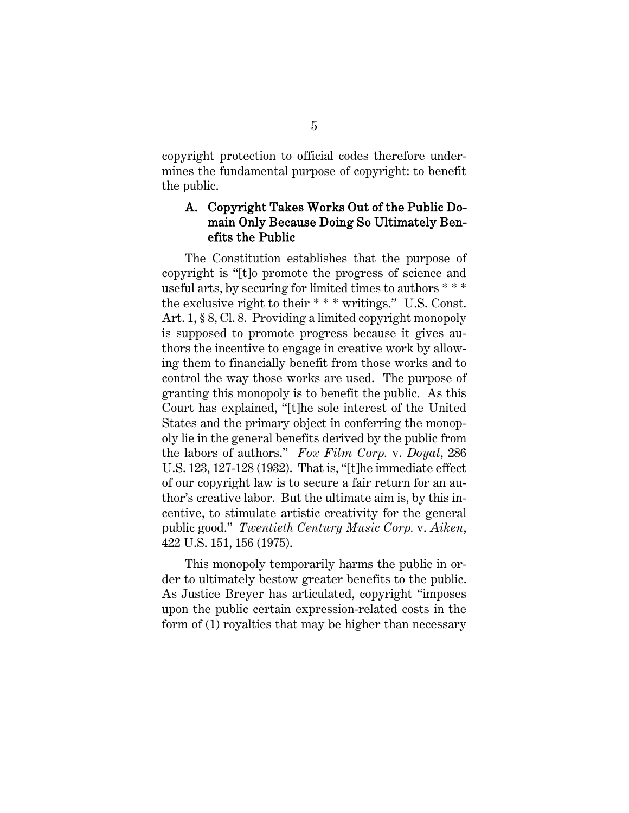copyright protection to official codes therefore undermines the fundamental purpose of copyright: to benefit the public.

#### <span id="page-12-3"></span><span id="page-12-0"></span>A. Copyright Takes Works Out of the Public Domain Only Because Doing So Ultimately Benefits the Public

The Constitution establishes that the purpose of copyright is "[t]o promote the progress of science and useful arts, by securing for limited times to authors \* \* \* the exclusive right to their \* \* \* writings."U.S. Const. Art. 1, § 8, Cl. 8. Providing a limited copyright monopoly is supposed to promote progress because it gives authors the incentive to engage in creative work by allowing them to financially benefit from those works and to control the way those works are used. The purpose of granting this monopoly is to benefit the public. As this Court has explained, "[t]he sole interest of the United States and the primary object in conferring the monopoly lie in the general benefits derived by the public from the labors of authors." *Fox Film Corp.* v. *Doyal*, 286 U.S. 123, 127-128 (1932). That is, "[t]he immediate effect of our copyright law is to secure a fair return for an author's creative labor. But the ultimate aim is, by this incentive, to stimulate artistic creativity for the general public good." *Twentieth Century Music Corp.* v. *Aiken*, 422 U.S. 151, 156 (1975).

<span id="page-12-2"></span><span id="page-12-1"></span>This monopoly temporarily harms the public in order to ultimately bestow greater benefits to the public. As Justice Breyer has articulated, copyright "imposes upon the public certain expression-related costs in the form of (1) royalties that may be higher than necessary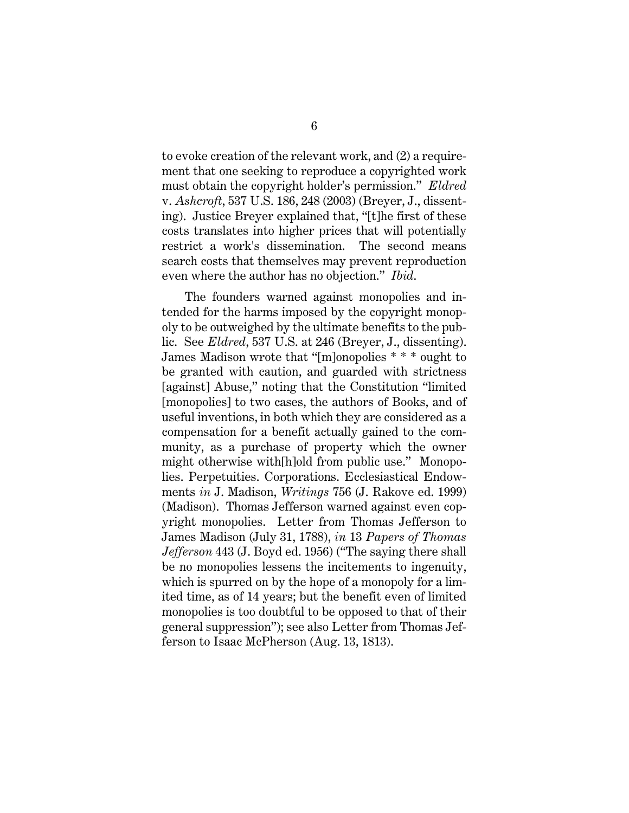<span id="page-13-0"></span>to evoke creation of the relevant work, and (2) a requirement that one seeking to reproduce a copyrighted work must obtain the copyright holder's permission." *Eldred*  v. *Ashcroft*, 537 U.S. 186, 248 (2003) (Breyer, J., dissenting). Justice Breyer explained that, "[t]he first of these costs translates into higher prices that will potentially restrict a work's dissemination. The second means search costs that themselves may prevent reproduction even where the author has no objection." *Ibid*.

<span id="page-13-3"></span><span id="page-13-2"></span><span id="page-13-1"></span>The founders warned against monopolies and intended for the harms imposed by the copyright monopoly to be outweighed by the ultimate benefits to the public. See *Eldred*, 537 U.S. at 246 (Breyer, J., dissenting). James Madison wrote that "[m]onopolies \* \* \* ought to be granted with caution, and guarded with strictness [against] Abuse," noting that the Constitution "limited [monopolies] to two cases, the authors of Books, and of useful inventions, in both which they are considered as a compensation for a benefit actually gained to the community, as a purchase of property which the owner might otherwise with[h]old from public use." Monopolies. Perpetuities. Corporations. Ecclesiastical Endowments *in* J. Madison, *Writings* 756 (J. Rakove ed. 1999) (Madison). Thomas Jefferson warned against even copyright monopolies. Letter from Thomas Jefferson to James Madison (July 31, 1788), *in* 13 *Papers of Thomas Jefferson* 443 (J. Boyd ed. 1956) ("The saying there shall be no monopolies lessens the incitements to ingenuity, which is spurred on by the hope of a monopoly for a limited time, as of 14 years; but the benefit even of limited monopolies is too doubtful to be opposed to that of their general suppression"); see also Letter from Thomas Jefferson to Isaac McPherson (Aug. 13, 1813).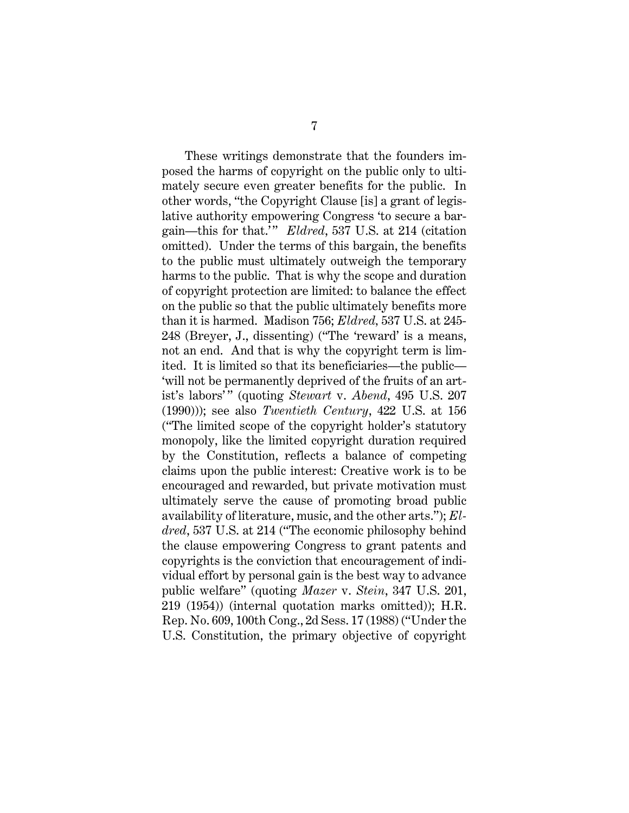<span id="page-14-3"></span><span id="page-14-2"></span><span id="page-14-1"></span><span id="page-14-0"></span>These writings demonstrate that the founders imposed the harms of copyright on the public only to ultimately secure even greater benefits for the public. In other words, "the Copyright Clause [is] a grant of legislative authority empowering Congress 'to secure a bargain—this for that.' " *Eldred*, 537 U.S. at 214 (citation omitted). Under the terms of this bargain, the benefits to the public must ultimately outweigh the temporary harms to the public. That is why the scope and duration of copyright protection are limited: to balance the effect on the public so that the public ultimately benefits more than it is harmed. Madison 756; *Eldred,* 537 U.S. at 245- 248 (Breyer, J., dissenting) ("The 'reward' is a means, not an end. And that is why the copyright term is limited. It is limited so that its beneficiaries—the public— 'will not be permanently deprived of the fruits of an artist's labors'" (quoting *Stewart v. Abend*, 495 U.S. 207 (1990))); see also *Twentieth Century*, 422 U.S. at 156 ("The limited scope of the copyright holder's statutory monopoly, like the limited copyright duration required by the Constitution, reflects a balance of competing claims upon the public interest: Creative work is to be encouraged and rewarded, but private motivation must ultimately serve the cause of promoting broad public availability of literature, music, and the other arts."); *Eldred*, 537 U.S. at 214 ("The economic philosophy behind the clause empowering Congress to grant patents and copyrights is the conviction that encouragement of individual effort by personal gain is the best way to advance public welfare" (quoting *Mazer* v. *Stein*, 347 U.S. 201, 219 (1954)) (internal quotation marks omitted)); H.R. Rep. No. 609, 100th Cong., 2d Sess. 17 (1988) ("Under the U.S. Constitution, the primary objective of copyright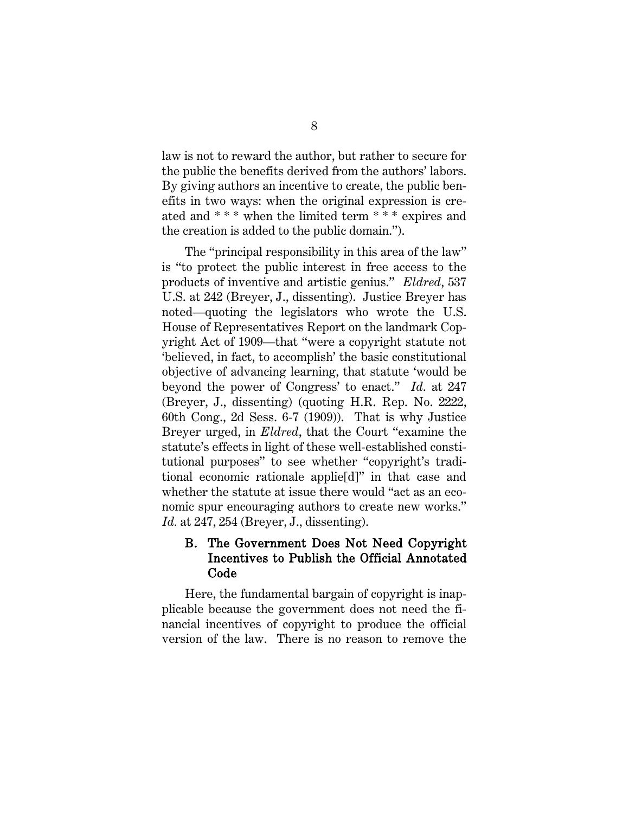law is not to reward the author, but rather to secure for the public the benefits derived from the authors' labors. By giving authors an incentive to create, the public benefits in two ways: when the original expression is created and \* \* \* when the limited term \* \* \* expires and the creation is added to the public domain.").

<span id="page-15-1"></span>The "principal responsibility in this area of the law" is "to protect the public interest in free access to the products of inventive and artistic genius." *Eldred*, 537 U.S. at 242 (Breyer, J., dissenting). Justice Breyer has noted—quoting the legislators who wrote the U.S. House of Representatives Report on the landmark Copyright Act of 1909—that "were a copyright statute not 'believed, in fact, to accomplish' the basic constitutional objective of advancing learning, that statute 'would be beyond the power of Congress' to enact." *Id*. at 247 (Breyer, J., dissenting) (quoting H.R. Rep. No. 2222, 60th Cong., 2d Sess. 6-7 (1909)). That is why Justice Breyer urged, in *Eldred*, that the Court "examine the statute's effects in light of these well-established constitutional purposes" to see whether "copyright's traditional economic rationale applie[d]" in that case and whether the statute at issue there would "act as an economic spur encouraging authors to create new works." *Id.* at 247, 254 (Breyer, J., dissenting).

#### <span id="page-15-0"></span>B. The Government Does Not Need Copyright Incentives to Publish the Official Annotated Code

Here, the fundamental bargain of copyright is inapplicable because the government does not need the financial incentives of copyright to produce the official version of the law. There is no reason to remove the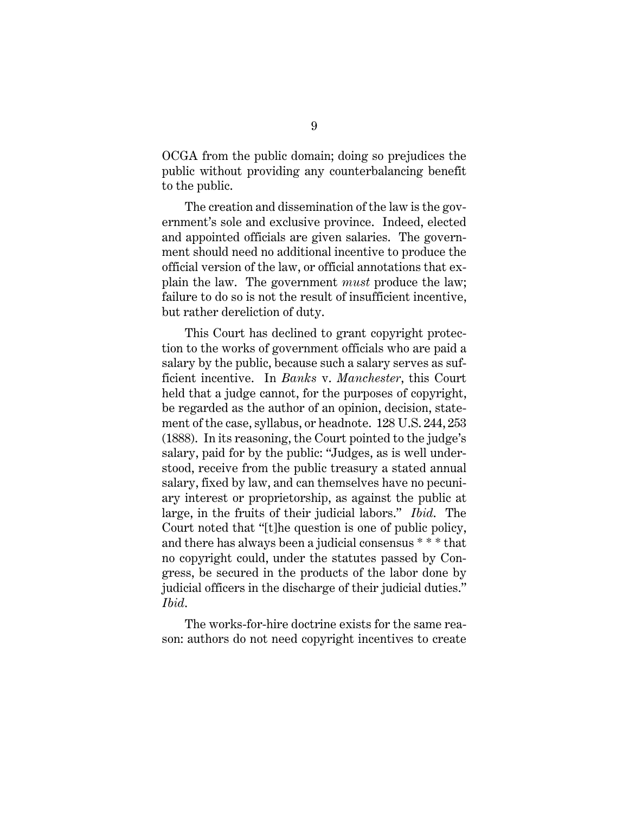OCGA from the public domain; doing so prejudices the public without providing any counterbalancing benefit to the public.

The creation and dissemination of the law is the government's sole and exclusive province. Indeed, elected and appointed officials are given salaries. The government should need no additional incentive to produce the official version of the law, or official annotations that explain the law. The government *must* produce the law; failure to do so is not the result of insufficient incentive, but rather dereliction of duty.

<span id="page-16-0"></span>This Court has declined to grant copyright protection to the works of government officials who are paid a salary by the public, because such a salary serves as sufficient incentive. In *Banks* v. *Manchester*, this Court held that a judge cannot, for the purposes of copyright, be regarded as the author of an opinion, decision, statement of the case, syllabus, or headnote. 128 U.S. 244, 253 (1888). In its reasoning, the Court pointed to the judge's salary, paid for by the public: "Judges, as is well understood, receive from the public treasury a stated annual salary, fixed by law, and can themselves have no pecuniary interest or proprietorship, as against the public at large, in the fruits of their judicial labors." *Ibid*. The Court noted that "[t]he question is one of public policy, and there has always been a judicial consensus \* \* \* that no copyright could, under the statutes passed by Congress, be secured in the products of the labor done by judicial officers in the discharge of their judicial duties." *Ibid*.

The works-for-hire doctrine exists for the same reason: authors do not need copyright incentives to create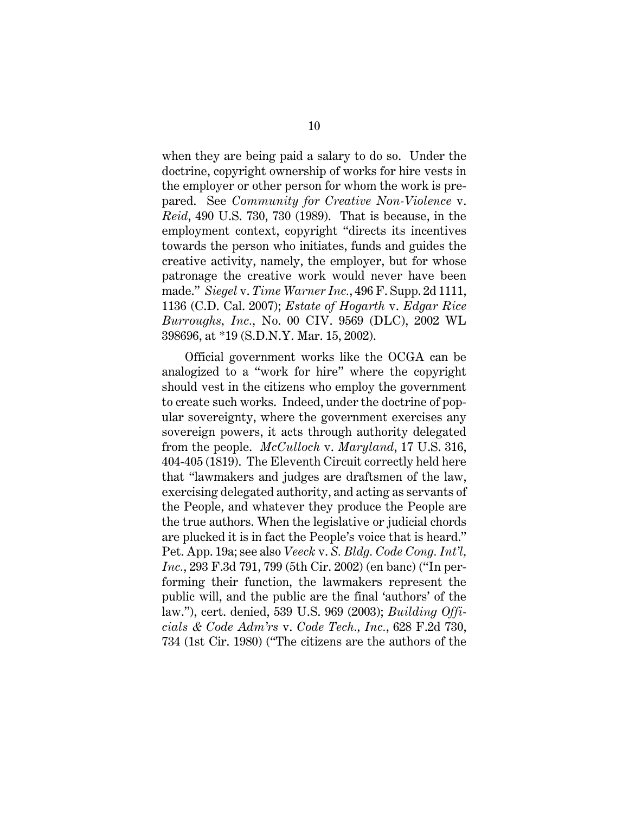<span id="page-17-1"></span>when they are being paid a salary to do so. Under the doctrine, copyright ownership of works for hire vests in the employer or other person for whom the work is prepared. See *Community for Creative Non-Violence* v. *Reid*, 490 U.S. 730, 730 (1989). That is because, in the employment context, copyright "directs its incentives towards the person who initiates, funds and guides the creative activity, namely, the employer, but for whose patronage the creative work would never have been made." *Siegel* v. *Time Warner Inc.*, 496 F. Supp. 2d 1111, 1136 (C.D. Cal. 2007); *Estate of Hogarth* v. *Edgar Rice Burroughs, Inc.*, No. 00 CIV. 9569 (DLC), 2002 WL 398696, at \*19 (S.D.N.Y. Mar. 15, 2002).

<span id="page-17-5"></span><span id="page-17-4"></span><span id="page-17-3"></span><span id="page-17-2"></span><span id="page-17-0"></span>Official government works like the OCGA can be analogized to a "work for hire" where the copyright should vest in the citizens who employ the government to create such works. Indeed, under the doctrine of popular sovereignty, where the government exercises any sovereign powers, it acts through authority delegated from the people. *McCulloch* v. *Maryland*, 17 U.S. 316, 404-405 (1819). The Eleventh Circuit correctly held here that "lawmakers and judges are draftsmen of the law, exercising delegated authority, and acting as servants of the People, and whatever they produce the People are the true authors. When the legislative or judicial chords are plucked it is in fact the People's voice that is heard." Pet. App. 19a; see also *Veeck* v. *S. Bldg. Code Cong. Int'l, Inc.*, 293 F.3d 791, 799 (5th Cir. 2002) (en banc) ("In performing their function, the lawmakers represent the public will, and the public are the final 'authors' of the law."), cert. denied, 539 U.S. 969 (2003); *Building Officials & Code Adm'rs* v. *Code Tech., Inc.*, 628 F.2d 730, 734 (1st Cir. 1980) ("The citizens are the authors of the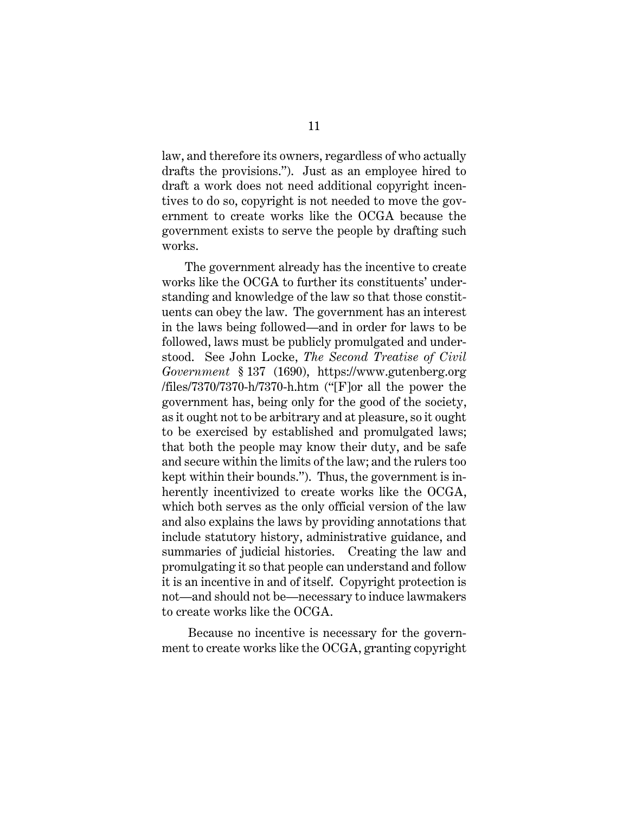law, and therefore its owners, regardless of who actually drafts the provisions."). Just as an employee hired to draft a work does not need additional copyright incentives to do so, copyright is not needed to move the government to create works like the OCGA because the government exists to serve the people by drafting such works.

<span id="page-18-0"></span>The government already has the incentive to create works like the OCGA to further its constituents' understanding and knowledge of the law so that those constituents can obey the law. The government has an interest in the laws being followed—and in order for laws to be followed, laws must be publicly promulgated and understood. See John Locke, *The Second Treatise of Civil Government* § 137 (1690), https://www.gutenberg.org /files/7370/7370-h/7370-h.htm ("[F]or all the power the government has, being only for the good of the society, as it ought not to be arbitrary and at pleasure, so it ought to be exercised by established and promulgated laws; that both the people may know their duty, and be safe and secure within the limits of the law; and the rulers too kept within their bounds."). Thus, the government is inherently incentivized to create works like the OCGA, which both serves as the only official version of the law and also explains the laws by providing annotations that include statutory history, administrative guidance, and summaries of judicial histories. Creating the law and promulgating it so that people can understand and follow it is an incentive in and of itself. Copyright protection is not—and should not be—necessary to induce lawmakers to create works like the OCGA.

Because no incentive is necessary for the government to create works like the OCGA, granting copyright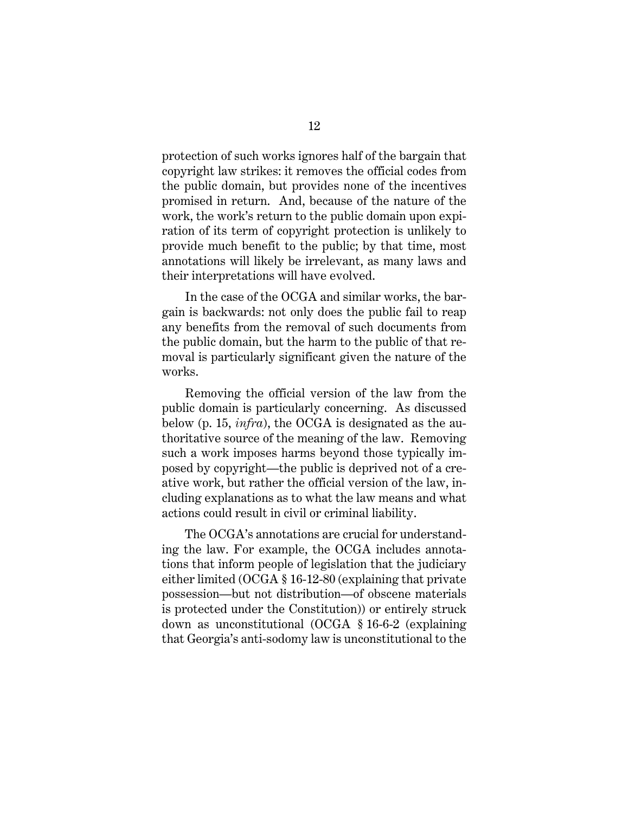protection of such works ignores half of the bargain that copyright law strikes: it removes the official codes from the public domain, but provides none of the incentives promised in return. And, because of the nature of the work, the work's return to the public domain upon expiration of its term of copyright protection is unlikely to provide much benefit to the public; by that time, most annotations will likely be irrelevant, as many laws and their interpretations will have evolved.

In the case of the OCGA and similar works, the bargain is backwards: not only does the public fail to reap any benefits from the removal of such documents from the public domain, but the harm to the public of that removal is particularly significant given the nature of the works.

Removing the official version of the law from the public domain is particularly concerning. As discussed below (p. 15, *infra*), the OCGA is designated as the authoritative source of the meaning of the law. Removing such a work imposes harms beyond those typically imposed by copyright—the public is deprived not of a creative work, but rather the official version of the law, including explanations as to what the law means and what actions could result in civil or criminal liability.

<span id="page-19-1"></span><span id="page-19-0"></span>The OCGA's annotations are crucial for understanding the law. For example, the OCGA includes annotations that inform people of legislation that the judiciary either limited (OCGA § 16-12-80 (explaining that private possession—but not distribution—of obscene materials is protected under the Constitution)) or entirely struck down as unconstitutional (OCGA § 16-6-2 (explaining that Georgia's anti-sodomy law is unconstitutional to the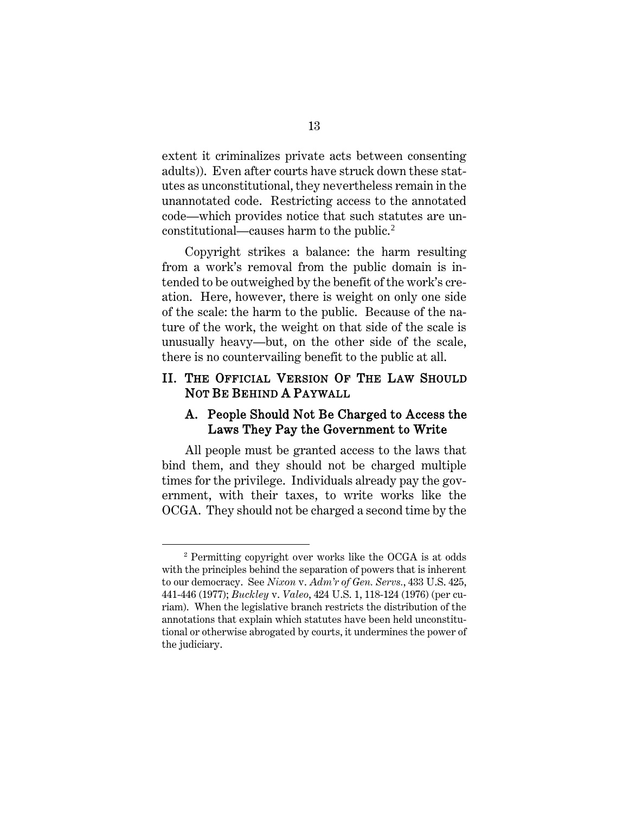extent it criminalizes private acts between consenting adults)). Even after courts have struck down these statutes as unconstitutional, they nevertheless remain in the unannotated code. Restricting access to the annotated code—which provides notice that such statutes are un-constitutional—causes harm to the public.<sup>[2](#page-20-4)</sup>

Copyright strikes a balance: the harm resulting from a work's removal from the public domain is intended to be outweighed by the benefit of the work's creation. Here, however, there is weight on only one side of the scale: the harm to the public. Because of the nature of the work, the weight on that side of the scale is unusually heavy—but, on the other side of the scale, there is no countervailing benefit to the public at all.

#### <span id="page-20-0"></span>II. THE OFFICIAL VERSION OF THE LAW SHOULD NOT BE BEHIND A PAYWALL

#### <span id="page-20-1"></span>A. People Should Not Be Charged to Access the Laws They Pay the Government to Write

All people must be granted access to the laws that bind them, and they should not be charged multiple times for the privilege. Individuals already pay the government, with their taxes, to write works like the OCGA. They should not be charged a second time by the

<span id="page-20-4"></span><span id="page-20-3"></span><span id="page-20-2"></span><sup>2</sup> Permitting copyright over works like the OCGA is at odds with the principles behind the separation of powers that is inherent to our democracy. See *Nixon* v. *Adm'r of Gen. Servs.*, 433 U.S. 425, 441-446 (1977); *Buckley* v. *Valeo*, 424 U.S. 1, 118-124 (1976) (per curiam). When the legislative branch restricts the distribution of the annotations that explain which statutes have been held unconstitutional or otherwise abrogated by courts, it undermines the power of the judiciary.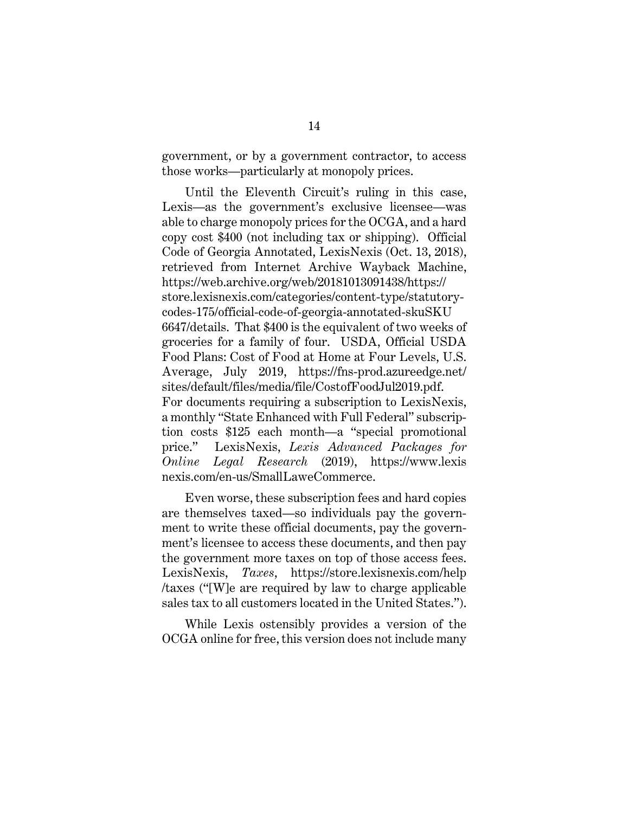government, or by a government contractor, to access those works—particularly at monopoly prices.

<span id="page-21-3"></span><span id="page-21-2"></span>Until the Eleventh Circuit's ruling in this case, Lexis—as the government's exclusive licensee—was able to charge monopoly prices for the OCGA, and a hard copy cost \$400 (not including tax or shipping). Official Code of Georgia Annotated, LexisNexis (Oct. 13, 2018), retrieved from Internet Archive Wayback Machine, https://web.archive.org/web/20181013091438/https:// store.lexisnexis.com/categories/content-type/statutorycodes-175/official-code-of-georgia-annotated-skuSKU 6647/details. That \$400 is the equivalent of two weeks of groceries for a family of four. USDA, Official USDA Food Plans: Cost of Food at Home at Four Levels, U.S. Average, July 2019, https://fns-prod.azureedge.net/ sites/default/files/media/file/CostofFoodJul2019.pdf. For documents requiring a subscription to LexisNexis, a monthly "State Enhanced with Full Federal" subscription costs \$125 each month—a "special promotional price." LexisNexis, *Lexis Advanced Packages for Online Legal Research* (2019), https://www.lexis nexis.com/en-us/SmallLaweCommerce.

<span id="page-21-0"></span>Even worse, these subscription fees and hard copies are themselves taxed—so individuals pay the government to write these official documents, pay the government's licensee to access these documents, and then pay the government more taxes on top of those access fees. LexisNexis, *Taxes*, https://store.lexisnexis.com/help /taxes ("[W]e are required by law to charge applicable sales tax to all customers located in the United States.").

<span id="page-21-1"></span>While Lexis ostensibly provides a version of the OCGA online for free, this version does not include many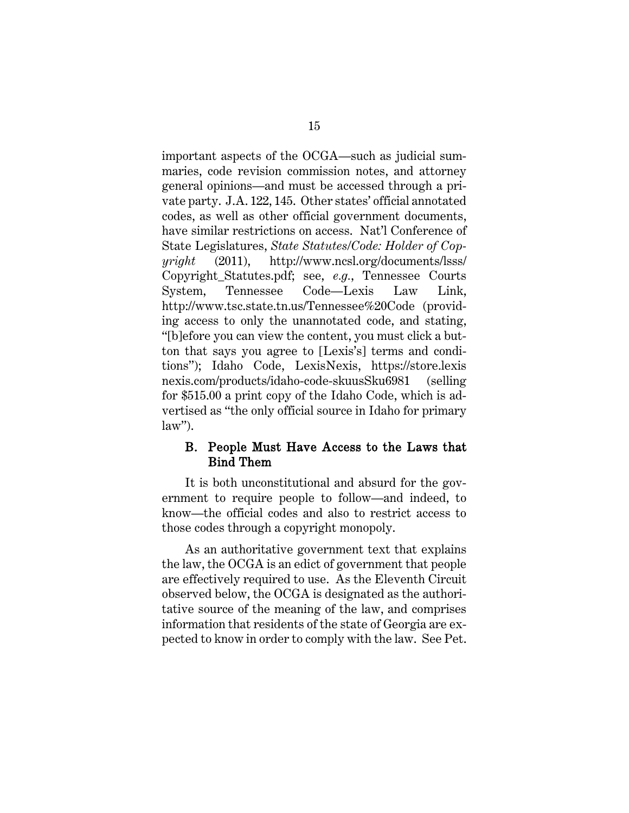<span id="page-22-3"></span><span id="page-22-2"></span>important aspects of the OCGA—such as judicial summaries, code revision commission notes, and attorney general opinions—and must be accessed through a private party. J.A. 122, 145. Other states' official annotated codes, as well as other official government documents, have similar restrictions on access. Nat'l Conference of State Legislatures, *State Statutes/Code: Holder of Copyright* (2011), http://www.ncsl.org/documents/lsss/ Copyright\_Statutes.pdf; see, *e.g.*, Tennessee Courts System, Tennessee Code—Lexis Law Link, http://www.tsc.state.tn.us/Tennessee%20Code (providing access to only the unannotated code, and stating, "[b]efore you can view the content, you must click a button that says you agree to [Lexis's] terms and conditions"); Idaho Code, LexisNexis, https://store.lexis nexis.com/products/idaho-code-skuusSku6981 (selling for \$515.00 a print copy of the Idaho Code, which is advertised as "the only official source in Idaho for primary  $law$ ").

#### <span id="page-22-1"></span><span id="page-22-0"></span>B. People Must Have Access to the Laws that Bind Them

It is both unconstitutional and absurd for the government to require people to follow—and indeed, to know—the official codes and also to restrict access to those codes through a copyright monopoly.

As an authoritative government text that explains the law, the OCGA is an edict of government that people are effectively required to use. As the Eleventh Circuit observed below, the OCGA is designated as the authoritative source of the meaning of the law, and comprises information that residents of the state of Georgia are expected to know in order to comply with the law. See Pet.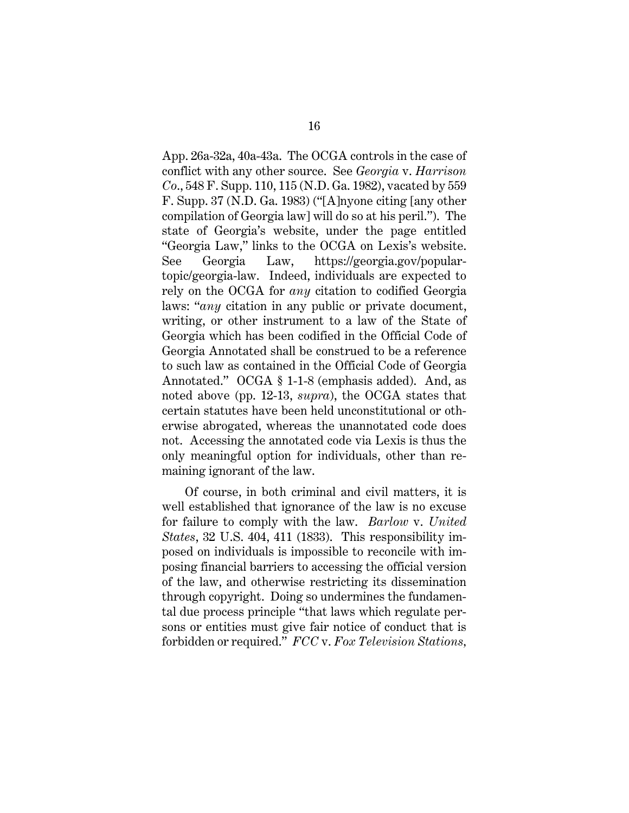<span id="page-23-4"></span><span id="page-23-2"></span>App. 26a-32a, 40a-43a. The OCGA controls in the case of conflict with any other source. See *Georgia* v. *Harrison Co*., 548 F. Supp. 110, 115 (N.D. Ga. 1982), vacated by 559 F. Supp. 37 (N.D. Ga. 1983) ("[A]nyone citing [any other compilation of Georgia law] will do so at his peril."). The state of Georgia's website, under the page entitled "Georgia Law," links to the OCGA on Lexis's website. See Georgia Law, [https://georgia.gov/popular](https://georgia.gov/popular-topic/georgia-law)[topic/georgia-law.](https://georgia.gov/popular-topic/georgia-law) Indeed, individuals are expected to rely on the OCGA for *any* citation to codified Georgia laws: "*any* citation in any public or private document, writing, or other instrument to a law of the State of Georgia which has been codified in the Official Code of Georgia Annotated shall be construed to be a reference to such law as contained in the Official Code of Georgia Annotated." OCGA § 1-1-8 (emphasis added). And, as noted above (pp. 12-13, *supra*), the OCGA states that certain statutes have been held unconstitutional or otherwise abrogated, whereas the unannotated code does not. Accessing the annotated code via Lexis is thus the only meaningful option for individuals, other than remaining ignorant of the law.

<span id="page-23-5"></span><span id="page-23-3"></span><span id="page-23-1"></span><span id="page-23-0"></span>Of course, in both criminal and civil matters, it is well established that ignorance of the law is no excuse for failure to comply with the law. *Barlow* v. *United States*, 32 U.S. 404, 411 (1833). This responsibility imposed on individuals is impossible to reconcile with imposing financial barriers to accessing the official version of the law, and otherwise restricting its dissemination through copyright. Doing so undermines the fundamental due process principle "that laws which regulate persons or entities must give fair notice of conduct that is forbidden or required." *FCC* v. *Fox Television Stations,*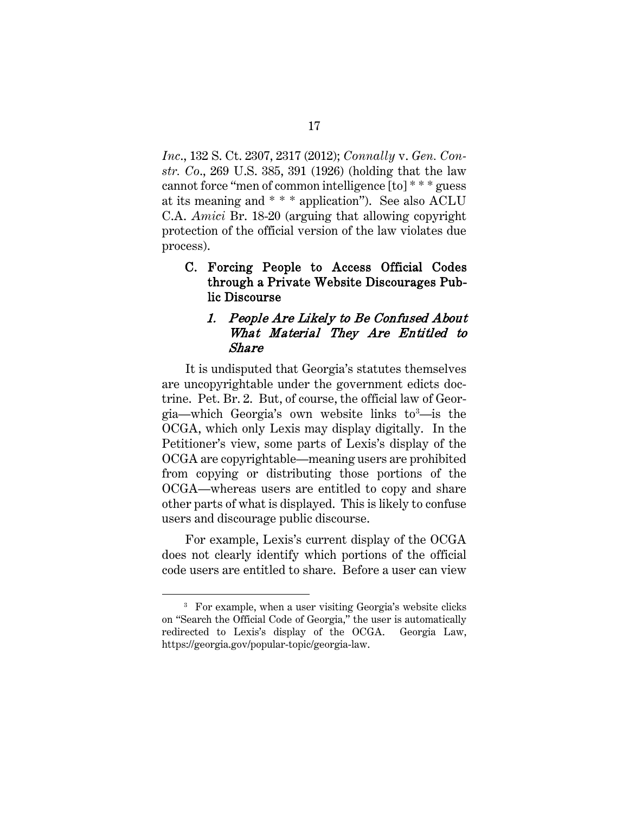<span id="page-24-2"></span>*Inc*., 132 S. Ct. 2307, 2317 (2012); *Connally* v. *Gen. Constr. Co*., 269 U.S. 385, 391 (1926) (holding that the law cannot force "men of common intelligence [to] \* \* \* guess at its meaning and \* \* \* application"). See also ACLU C.A. *Amici* Br. 18-20 (arguing that allowing copyright protection of the official version of the law violates due process).

<span id="page-24-0"></span>C. Forcing People to Access Official Codes through a Private Website Discourages Public Discourse

#### <span id="page-24-1"></span>1. People Are Likely to Be Confused About What Material They Are Entitled to Share

It is undisputed that Georgia's statutes themselves are uncopyrightable under the government edicts doctrine. Pet. Br. 2. But, of course, the official law of Geor-gia—which Georgia's own website links to<sup>[3](#page-24-3)</sup>—is the OCGA, which only Lexis may display digitally. In the Petitioner's view, some parts of Lexis's display of the OCGA are copyrightable—meaning users are prohibited from copying or distributing those portions of the OCGA—whereas users are entitled to copy and share other parts of what is displayed. This is likely to confuse users and discourage public discourse.

For example, Lexis's current display of the OCGA does not clearly identify which portions of the official code users are entitled to share. Before a user can view

<span id="page-24-3"></span><sup>&</sup>lt;sup>3</sup> For example, when a user visiting Georgia's website clicks on "Search the Official Code of Georgia," the user is automatically redirected to Lexis's display of the OCGA. Georgia Law, https://georgia.gov/popular-topic/georgia-law.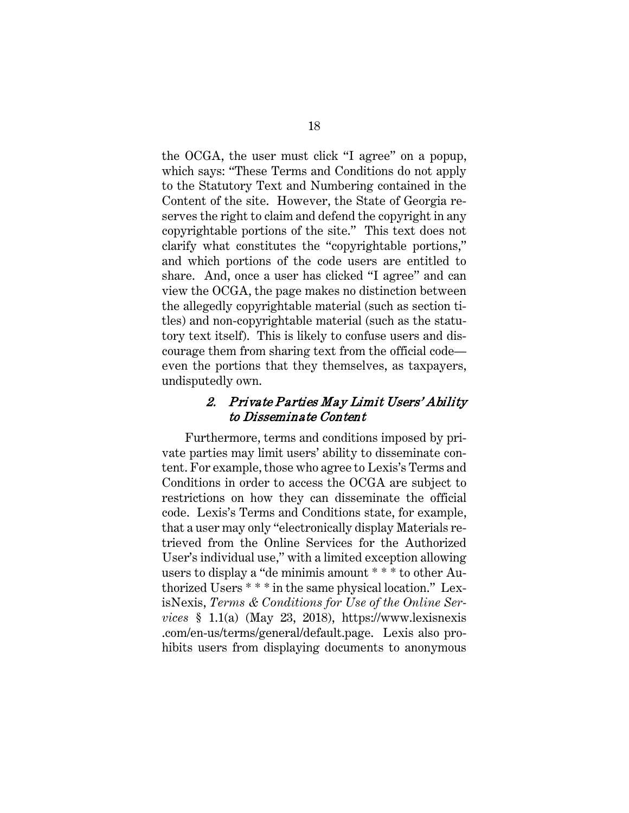the OCGA, the user must click "I agree" on a popup, which says: "These Terms and Conditions do not apply to the Statutory Text and Numbering contained in the Content of the site. However, the State of Georgia reserves the right to claim and defend the copyright in any copyrightable portions of the site." This text does not clarify what constitutes the "copyrightable portions," and which portions of the code users are entitled to share. And, once a user has clicked "I agree" and can view the OCGA, the page makes no distinction between the allegedly copyrightable material (such as section titles) and non-copyrightable material (such as the statutory text itself). This is likely to confuse users and discourage them from sharing text from the official code even the portions that they themselves, as taxpayers, undisputedly own.

#### <span id="page-25-1"></span>2. Private Parties May Limit Users' Ability to Disseminate Content

<span id="page-25-0"></span>Furthermore, terms and conditions imposed by private parties may limit users' ability to disseminate content. For example, those who agree to Lexis's Terms and Conditions in order to access the OCGA are subject to restrictions on how they can disseminate the official code. Lexis's Terms and Conditions state, for example, that a user may only "electronically display Materials retrieved from the Online Services for the Authorized User's individual use," with a limited exception allowing users to display a "de minimis amount \* \* \* to other Authorized Users \* \* \* in the same physical location." LexisNexis, *Terms & Conditions for Use of the Online Services* § 1.1(a) (May 23, 2018), https://www.lexisnexis .com/en-us/terms/general/default.page. Lexis also prohibits users from displaying documents to anonymous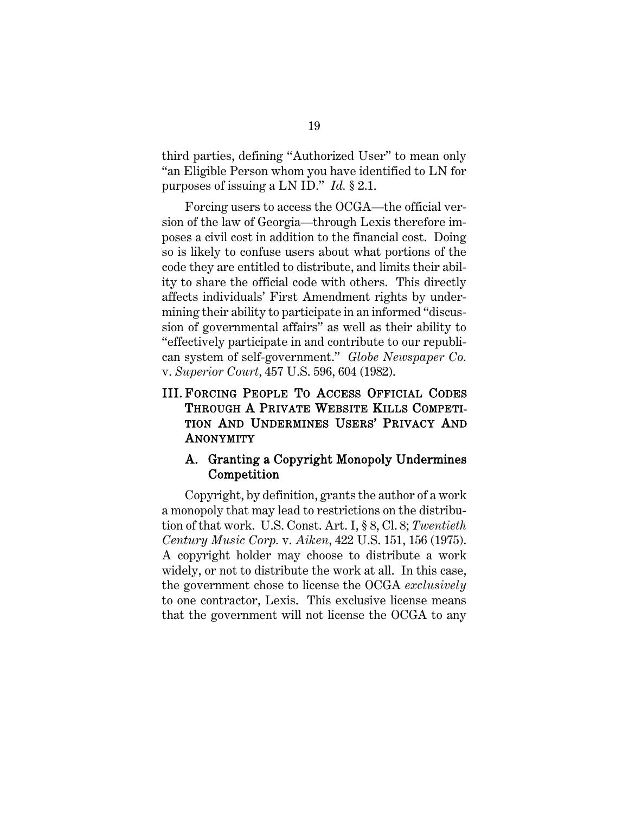third parties, defining "Authorized User" to mean only "an Eligible Person whom you have identified to LN for purposes of issuing a LN ID." *Id.* § 2.1.

<span id="page-26-5"></span>Forcing users to access the OCGA—the official version of the law of Georgia—through Lexis therefore imposes a civil cost in addition to the financial cost. Doing so is likely to confuse users about what portions of the code they are entitled to distribute, and limits their ability to share the official code with others. This directly affects individuals' First Amendment rights by undermining their ability to participate in an informed "discussion of governmental affairs" as well as their ability to "effectively participate in and contribute to our republican system of self-government." *Globe Newspaper Co.*  v. *Superior Court*, 457 U.S. 596, 604 (1982).

### <span id="page-26-2"></span><span id="page-26-0"></span>III. FORCING PEOPLE TO ACCESS OFFICIAL CODES THROUGH A PRIVATE WEBSITE KILLS COMPETI-TION AND UNDERMINES USERS' PRIVACY AND **ANONYMITY**

#### <span id="page-26-4"></span><span id="page-26-3"></span><span id="page-26-1"></span>A. Granting a Copyright Monopoly Undermines Competition

Copyright, by definition, grants the author of a work a monopoly that may lead to restrictions on the distribution of that work. U.S. Const. Art. I, § 8, Cl. 8; *Twentieth Century Music Corp.* v. *Aiken*, 422 U.S. 151, 156 (1975). A copyright holder may choose to distribute a work widely, or not to distribute the work at all. In this case, the government chose to license the OCGA *exclusively* to one contractor, Lexis. This exclusive license means that the government will not license the OCGA to any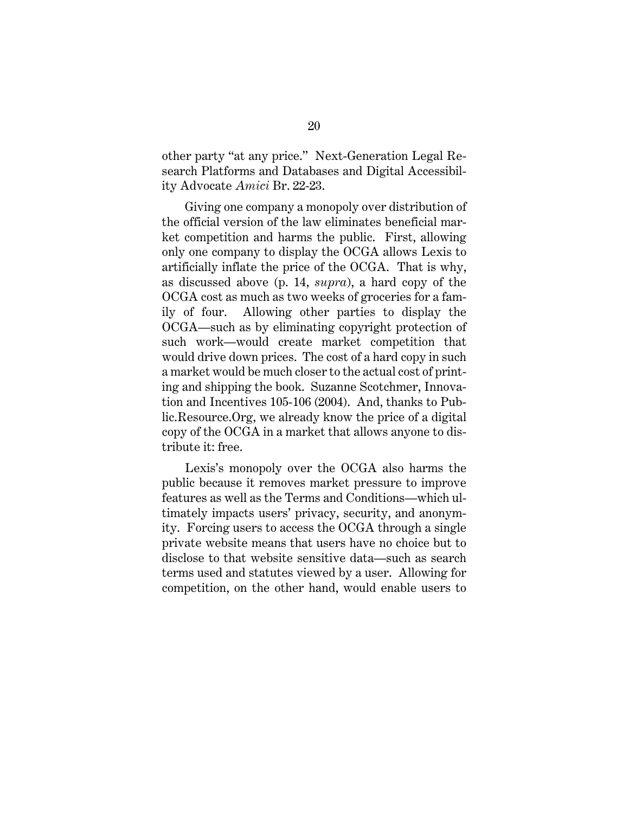other party "at any price." Next-Generation Legal Research Platforms and Databases and Digital Accessibility Advocate *Amici* Br. 22-23.

Giving one company a monopoly over distribution of the official version of the law eliminates beneficial market competition and harms the public. First, allowing only one company to display the OCGA allows Lexis to artificially inflate the price of the OCGA. That is why, as discussed above (p. 14, *supra*), a hard copy of the OCGA cost as much as two weeks of groceries for a family of four. Allowing other parties to display the OCGA—such as by eliminating copyright protection of such work—would create market competition that would drive down prices. The cost of a hard copy in such a market would be much closer to the actual cost of printing and shipping the book. Suzanne Scotchmer, Innovation and Incentives 105-106 (2004). And, thanks to Public.Resource.Org, we already know the price of a digital copy of the OCGA in a market that allows anyone to distribute it: free.

<span id="page-27-0"></span>Lexis's monopoly over the OCGA also harms the public because it removes market pressure to improve features as well as the Terms and Conditions—which ultimately impacts users' privacy, security, and anonymity. Forcing users to access the OCGA through a single private website means that users have no choice but to disclose to that website sensitive data—such as search terms used and statutes viewed by a user. Allowing for competition, on the other hand, would enable users to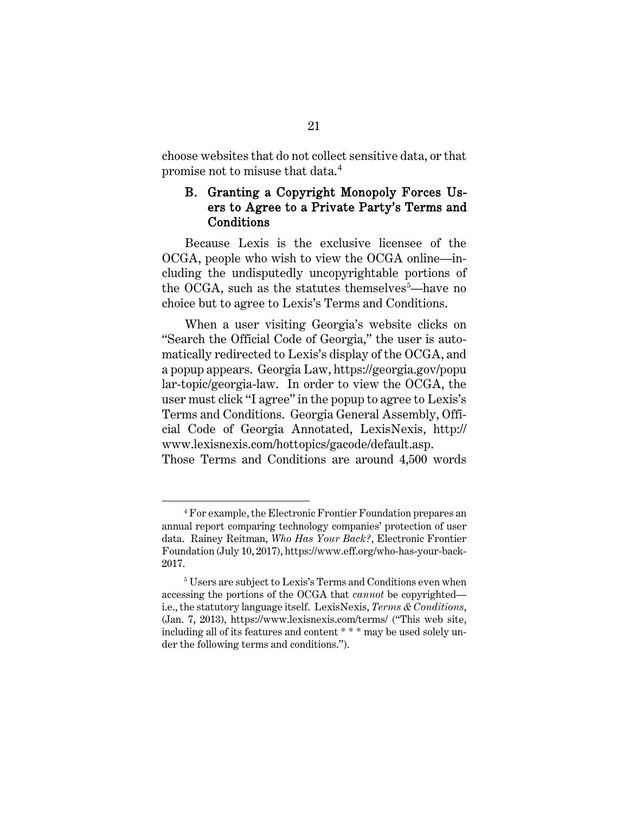choose websites that do not collect sensitive data, or that promise not to misuse that data.<sup>[4](#page-27-0)</sup>

#### <span id="page-28-0"></span>B. Granting a Copyright Monopoly Forces Users to Agree to a Private Party's Terms and Conditions

Because Lexis is the exclusive licensee of the OCGA, people who wish to view the OCGA online—including the undisputedly uncopyrightable portions of the OCGA, such as the statutes themselves<sup>[5](#page-28-5)</sup>—have no choice but to agree to Lexis's Terms and Conditions.

<span id="page-28-2"></span><span id="page-28-1"></span>When a user visiting Georgia's website clicks on "Search the Official Code of Georgia," the user is automatically redirected to Lexis's display of the OCGA, and a popup appears. Georgia Law, https://georgia.gov/popu lar-topic/georgia-law. In order to view the OCGA, the user must click "I agree" in the popup to agree to Lexis's Terms and Conditions. Georgia General Assembly, Official Code of Georgia Annotated, LexisNexis, http:// www.lexisnexis.com/hottopics/gacode/default.asp. Those Terms and Conditions are around 4,500 words

<span id="page-28-4"></span><sup>4</sup> For example, the Electronic Frontier Foundation prepares an annual report comparing technology companies' protection of user data. Rainey Reitman, *Who Has Your Back?*, Electronic Frontier Foundation (July 10, 2017), https://www.eff.org/who-has-your-back-2017.

<span id="page-28-5"></span><span id="page-28-3"></span><sup>5</sup> Users are subject to Lexis's Terms and Conditions even when accessing the portions of the OCGA that *cannot* be copyrighted i.e., the statutory language itself. LexisNexis, *Terms & Conditions*, (Jan. 7, 2013), https://www.lexisnexis.com/terms/ ("This web site, including all of its features and content \* \* \* may be used solely under the following terms and conditions.").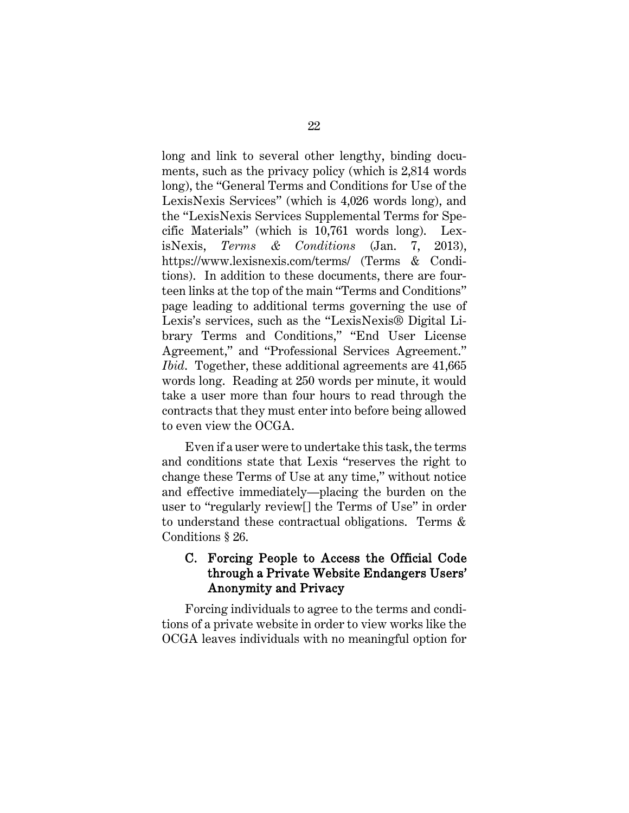<span id="page-29-1"></span>long and link to several other lengthy, binding documents, such as the privacy policy (which is 2,814 words long), the "General Terms and Conditions for Use of the LexisNexis Services" (which is 4,026 words long), and the "LexisNexis Services Supplemental Terms for Specific Materials" (which is 10,761 words long). LexisNexis, *Terms & Conditions* (Jan. 7, 2013), https://www.lexisnexis.com/terms/ (Terms & Conditions). In addition to these documents, there are fourteen links at the top of the main "Terms and Conditions" page leading to additional terms governing the use of Lexis's services, such as the "LexisNexis® Digital Library Terms and Conditions," "End User License Agreement," and "Professional Services Agreement." *Ibid.* Together, these additional agreements are 41,665 words long. Reading at 250 words per minute, it would take a user more than four hours to read through the contracts that they must enter into before being allowed to even view the OCGA.

Even if a user were to undertake this task, the terms and conditions state that Lexis "reserves the right to change these Terms of Use at any time," without notice and effective immediately—placing the burden on the user to "regularly review[] the Terms of Use" in order to understand these contractual obligations. Terms & Conditions § 26.

### <span id="page-29-0"></span>C. Forcing People to Access the Official Code through a Private Website Endangers Users' Anonymity and Privacy

Forcing individuals to agree to the terms and conditions of a private website in order to view works like the OCGA leaves individuals with no meaningful option for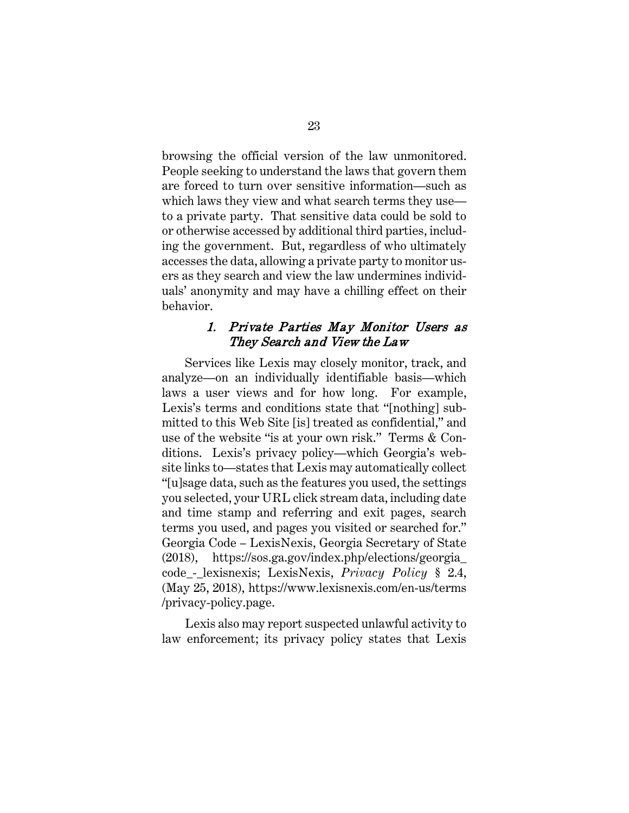browsing the official version of the law unmonitored. People seeking to understand the laws that govern them are forced to turn over sensitive information—such as which laws they view and what search terms they use to a private party. That sensitive data could be sold to or otherwise accessed by additional third parties, including the government. But, regardless of who ultimately accesses the data, allowing a private party to monitor users as they search and view the law undermines individuals' anonymity and may have a chilling effect on their behavior.

#### <span id="page-30-3"></span>1. Private Parties May Monitor Users as They Search and View the Law

<span id="page-30-0"></span>Services like Lexis may closely monitor, track, and analyze—on an individually identifiable basis—which laws a user views and for how long. For example, Lexis's terms and conditions state that "[nothing] submitted to this Web Site [is] treated as confidential," and use of the website "is at your own risk." Terms & Conditions. Lexis's privacy policy—which Georgia's website links to—states that Lexis may automatically collect "[u]sage data, such as the features you used, the settings you selected, your URL click stream data, including date and time stamp and referring and exit pages, search terms you used, and pages you visited or searched for." Georgia Code – LexisNexis, Georgia Secretary of State (2018), https://sos.ga.gov/index.php/elections/georgia\_ code\_-\_lexisnexis; LexisNexis, *Privacy Policy* § 2.4, (May 25, 2018), https://www.lexisnexis.com/en-us/terms /privacy-policy.page.

<span id="page-30-2"></span><span id="page-30-1"></span>Lexis also may report suspected unlawful activity to law enforcement; its privacy policy states that Lexis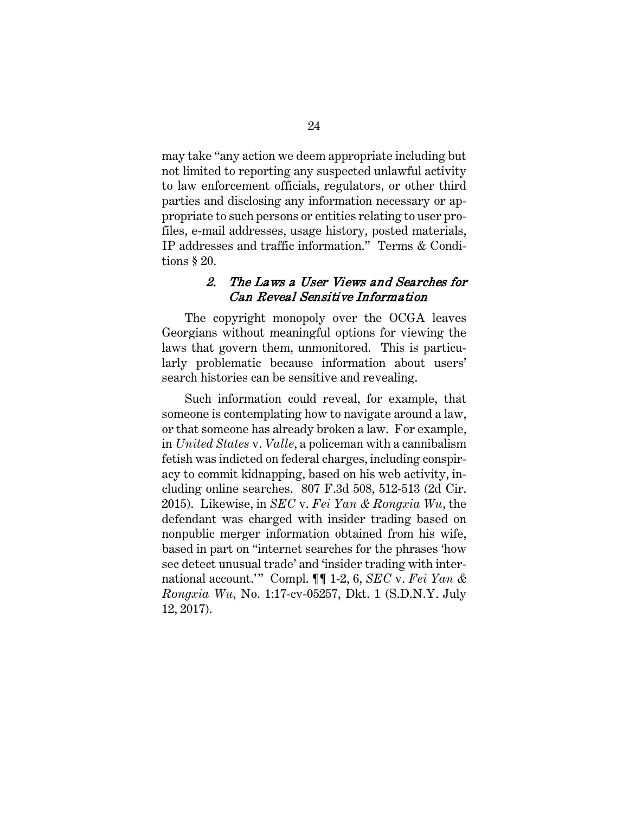may take "any action we deem appropriate including but not limited to reporting any suspected unlawful activity to law enforcement officials, regulators, or other third parties and disclosing any information necessary or appropriate to such persons or entities relating to user profiles, e-mail addresses, usage history, posted materials, IP addresses and traffic information." Terms & Conditions § 20.

#### <span id="page-31-2"></span>2. The Laws a User Views and Searches for Can Reveal Sensitive Information

<span id="page-31-0"></span>The copyright monopoly over the OCGA leaves Georgians without meaningful options for viewing the laws that govern them, unmonitored. This is particularly problematic because information about users' search histories can be sensitive and revealing.

<span id="page-31-1"></span>Such information could reveal, for example, that someone is contemplating how to navigate around a law, or that someone has already broken a law. For example, in *United States* v. *Valle*, a policeman with a cannibalism fetish was indicted on federal charges, including conspiracy to commit kidnapping, based on his web activity, including online searches. 807 F.3d 508, 512-513 (2d Cir. 2015). Likewise, in *SEC* v. *Fei Yan & Rongxia Wu*, the defendant was charged with insider trading based on nonpublic merger information obtained from his wife, based in part on "internet searches for the phrases 'how sec detect unusual trade' and 'insider trading with international account.'" Compl. ¶¶ 1-2, 6, *SEC* v. *Fei Yan & Rongxia Wu*, No. 1:17-cv-05257, Dkt. 1 (S.D.N.Y. July 12, 2017).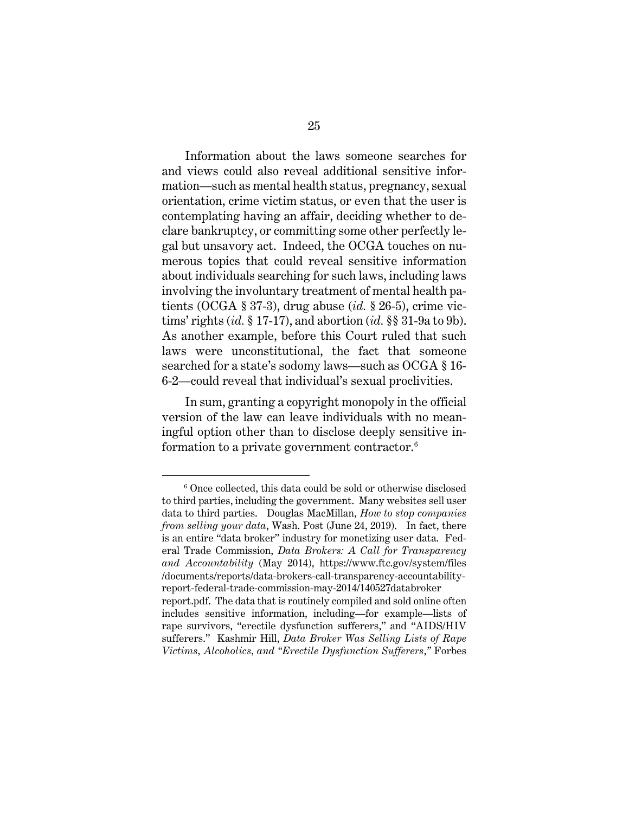Information about the laws someone searches for and views could also reveal additional sensitive information—such as mental health status, pregnancy, sexual orientation, crime victim status, or even that the user is contemplating having an affair, deciding whether to declare bankruptcy, or committing some other perfectly legal but unsavory act. Indeed, the OCGA touches on numerous topics that could reveal sensitive information about individuals searching for such laws, including laws involving the involuntary treatment of mental health patients (OCGA § 37-3), drug abuse (*id.* § 26-5), crime victims' rights (*id.* § 17-17), and abortion (*id.* §§ 31-9a to 9b). As another example, before this Court ruled that such laws were unconstitutional, the fact that someone searched for a state's sodomy laws—such as OCGA § 16- 6-2—could reveal that individual's sexual proclivities.

<span id="page-32-4"></span><span id="page-32-3"></span><span id="page-32-2"></span><span id="page-32-1"></span><span id="page-32-0"></span>In sum, granting a copyright monopoly in the official version of the law can leave individuals with no meaningful option other than to disclose deeply sensitive in-formation to a private government contractor.<sup>[6](#page-32-7)</sup>

<span id="page-32-7"></span><span id="page-32-6"></span><sup>6</sup> Once collected, this data could be sold or otherwise disclosed to third parties, including the government. Many websites sell user data to third parties. Douglas MacMillan, *How to stop companies from selling your data*, Wash. Post (June 24, 2019). In fact, there is an entire "data broker" industry for monetizing user data. Federal Trade Commission, *Data Brokers: A Call for Transparency and Accountability* (May 2014), https://www.ftc.gov/system/files /documents/reports/data-brokers-call-transparency-accountabilityreport-federal-trade-commission-may-2014/140527databroker report.pdf. The data that is routinely compiled and sold online often includes sensitive information, including—for example—lists of rape survivors, "erectile dysfunction sufferers," and "AIDS/HIV sufferers." Kashmir Hill, *Data Broker Was Selling Lists of Rape* 

<span id="page-32-5"></span>*Victims, Alcoholics, and "Erectile Dysfunction Sufferers*,*"* Forbes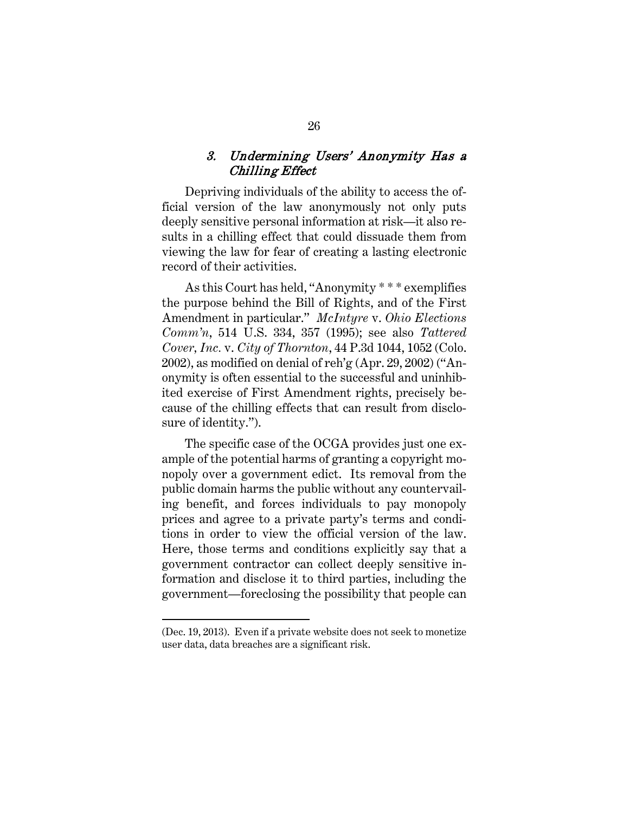#### 3. Undermining Users' Anonymity Has a Chilling Effect

<span id="page-33-0"></span>Depriving individuals of the ability to access the official version of the law anonymously not only puts deeply sensitive personal information at risk—it also results in a chilling effect that could dissuade them from viewing the law for fear of creating a lasting electronic record of their activities.

<span id="page-33-2"></span><span id="page-33-1"></span>As this Court has held, "Anonymity \* \* \* exemplifies the purpose behind the Bill of Rights, and of the First Amendment in particular." *McIntyre* v. *Ohio Elections Comm'n*, 514 U.S. 334, 357 (1995); see also *Tattered Cover, Inc.* v. *City of Thornton*, 44 P.3d 1044, 1052 (Colo. 2002), as modified on denial of reh'g (Apr. 29, 2002) ("Anonymity is often essential to the successful and uninhibited exercise of First Amendment rights, precisely because of the chilling effects that can result from disclosure of identity.").

The specific case of the OCGA provides just one example of the potential harms of granting a copyright monopoly over a government edict. Its removal from the public domain harms the public without any countervailing benefit, and forces individuals to pay monopoly prices and agree to a private party's terms and conditions in order to view the official version of the law. Here, those terms and conditions explicitly say that a government contractor can collect deeply sensitive information and disclose it to third parties, including the government—foreclosing the possibility that people can

Ĩ.

<sup>(</sup>Dec. 19, 2013). Even if a private website does not seek to monetize user data, data breaches are a significant risk.